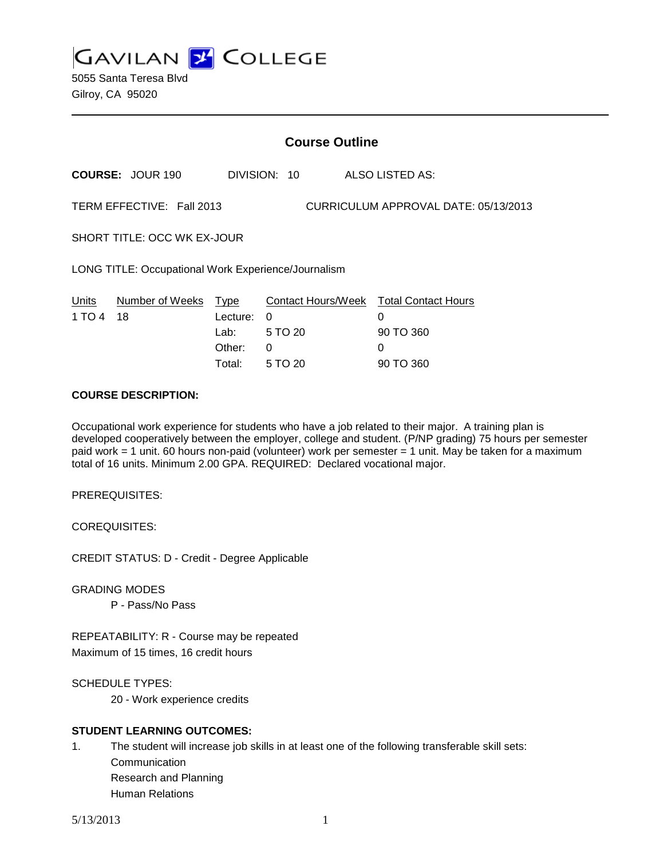**GAVILAN 2 COLLEGE** 5055 Santa Teresa Blvd Gilroy, CA 95020

| <b>Course Outline</b>                                             |                         |                                                |                                     |                                                                            |  |
|-------------------------------------------------------------------|-------------------------|------------------------------------------------|-------------------------------------|----------------------------------------------------------------------------|--|
|                                                                   | <b>COURSE: JOUR 190</b> |                                                | DIVISION: 10                        | ALSO LISTED AS:                                                            |  |
| TERM EFFECTIVE: Fall 2013<br>CURRICULUM APPROVAL DATE: 05/13/2013 |                         |                                                |                                     |                                                                            |  |
| SHORT TITLE: OCC WK EX-JOUR                                       |                         |                                                |                                     |                                                                            |  |
| LONG TITLE: Occupational Work Experience/Journalism               |                         |                                                |                                     |                                                                            |  |
| Units<br>1 TO 4                                                   | Number of Weeks<br>18   | Type<br>Lecture:<br>Lab: .<br>Other:<br>Total: | $\Omega$<br>5 TO 20<br>0<br>5 TO 20 | Contact Hours/Week Total Contact Hours<br>0<br>90 TO 360<br>0<br>90 TO 360 |  |

### **COURSE DESCRIPTION:**

Occupational work experience for students who have a job related to their major. A training plan is developed cooperatively between the employer, college and student. (P/NP grading) 75 hours per semester paid work = 1 unit. 60 hours non-paid (volunteer) work per semester = 1 unit. May be taken for a maximum total of 16 units. Minimum 2.00 GPA. REQUIRED: Declared vocational major.

PREREQUISITES:

COREQUISITES:

CREDIT STATUS: D - Credit - Degree Applicable

GRADING MODES

P - Pass/No Pass

REPEATABILITY: R - Course may be repeated Maximum of 15 times, 16 credit hours

SCHEDULE TYPES:

20 - Work experience credits

# **STUDENT LEARNING OUTCOMES:**

1. The student will increase job skills in at least one of the following transferable skill sets: **Communication** Research and Planning Human Relations